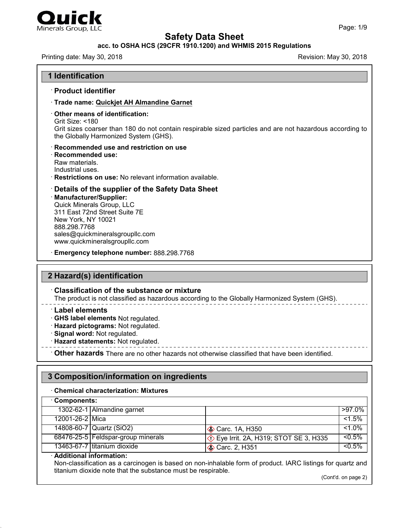

## **acc. to OSHA HCS (29CFR 1910.1200) and WHMIS 2015 Regulations**

Printing date: May 30, 2018 **Printing date: May 30, 2018** Revision: May 30, 2018

| · Product identifier                                                                                                                                                                                                                                         |                                                                                                          |
|--------------------------------------------------------------------------------------------------------------------------------------------------------------------------------------------------------------------------------------------------------------|----------------------------------------------------------------------------------------------------------|
| · Trade name: Quickjet AH Almandine Garnet                                                                                                                                                                                                                   |                                                                                                          |
| $\cdot$ Other means of identification:<br>Grit Size: $<$ 180<br>the Globally Harmonized System (GHS).                                                                                                                                                        | Grit sizes coarser than 180 do not contain respirable sized particles and are not hazardous according to |
| · Recommended use and restriction on use<br>$\cdot$ Recommended use:<br>Raw materials.<br>Industrial uses.<br>· Restrictions on use: No relevant information available.                                                                                      |                                                                                                          |
| $\cdot$ Details of the supplier of the Safety Data Sheet<br>· Manufacturer/Supplier:<br>Quick Minerals Group, LLC<br>311 East 72nd Street Suite 7E<br>New York, NY 10021<br>888.298.7768<br>sales@quickmineralsgroupllc.com<br>www.quickmineralsgroupllc.com |                                                                                                          |

## **2 Hazard(s) identification**

#### · **Classification of the substance or mixture**

The product is not classified as hazardous according to the Globally Harmonized System (GHS).

- · **Label elements**
- · **GHS label elements** Not regulated.
- · **Hazard pictograms:** Not regulated.
- · **Signal word:** Not regulated.
- · **Hazard statements:** Not regulated.

· **Other hazards** There are no other hazards nototherwise classified that have been identified.

## **3 Composition/information on ingredients**

#### · **Chemical characterization: Mixtures**

| Components:     |                                      |                                                      |           |
|-----------------|--------------------------------------|------------------------------------------------------|-----------|
|                 | 1302-62-1 Almandine garnet           |                                                      | $>97.0\%$ |
| 12001-26-2 Mica |                                      |                                                      | $< 1.5\%$ |
|                 | 14808-60-7 Quartz (SiO2)             | $\otimes$ Carc. 1A, H350                             | $< 1.0\%$ |
|                 | 68476-25-5   Feldspar-group minerals | <b><i>♦</i></b> Eye Irrit. 2A, H319; STOT SE 3, H335 | $< 0.5\%$ |
|                 | 13463-67-7 titanium dioxide          | <b>♦ Carc. 2, H351</b>                               | $< 0.5\%$ |

#### · **Additional information:**

47.0.1

Non-classification as a carcinogen is based on non-inhalable form of product. IARC listings for quartz and titanium dioxide note that the substance must be respirable.

(Cont'd. on page 2)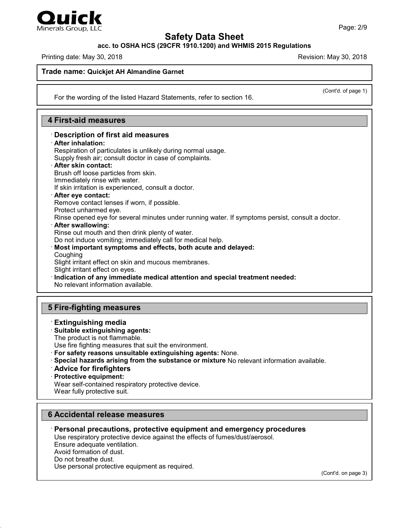

**acc. to OSHA HCS (29CFR 1910.1200) and WHMIS 2015 Regulations**

Printing date: May 30, 2018 **Revision: May 30, 2018** Revision: May 30, 2018

(Cont'd. of page 1)

#### **Trade name: Quickjet AH Almandine Garnet**

For the wording of the listed Hazard Statements, refer to section 16.

### **4 First-aid measures**

## · **Description of first aid measures**

· **After inhalation:**

Respiration of particulates is unlikely during normal usage. Supply fresh air; consult doctor in case of complaints. · **After skin contact:**

Brush off loose particles from skin.

Immediately rinse with water.

If skin irritation is experienced, consult a doctor.

· **After eye contact:**

Remove contact lenses if worn, if possible.

Protect unharmed eye.

Rinse opened eye for several minutes under running water. If symptoms persist, consult a doctor.

#### · **After swallowing:**

Rinse out mouth and then drink plenty of water.

Do not induce vomiting; immediately call for medical help.

#### · **Most important symptoms and effects, both acute and delayed:** Coughing

Slight irritant effect on skin and mucous membranes.

Slight irritant effect on eyes.

· **Indication of any immediate medical attention and special treatment needed:**

No relevant information available.

## **5 Fire-fighting measures**

· **Extinguishing media** · **Suitable extinguishing agents:**

The product is not flammable.

Use fire fighting measures that suit the environment.

· **For safety reasons unsuitable extinguishing agents:** None.

- · **Special hazards arising from the substance or mixture** No relevant information available.
- · **Advice for firefighters**
- · **Protective equipment:**

Wear self-contained respiratory protective device.

Wear fully protective suit.

## **6 Accidental release measures**

· **Personal precautions, protective equipment and emergency procedures**

Use respiratory protective device against the effects of fumes/dust/aerosol. Ensure adequate ventilation. Avoid formation of dust.

Do not breathe dust. Use personal protective equipment as required.

47.0.1

(Cont'd. on page 3)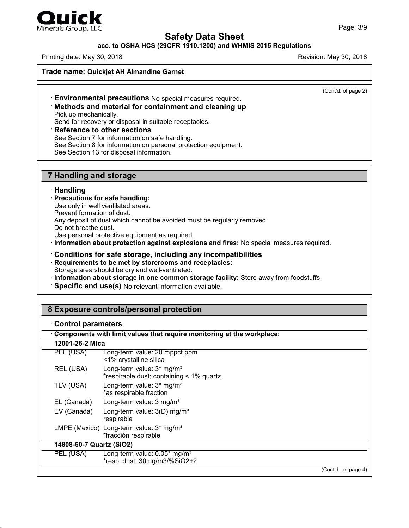

# Minerals Group, LLC

## **Safety Data Sheet**

### **acc. to OSHA HCS (29CFR 1910.1200) and WHMIS 2015 Regulations**

Printing date: May 30, 2018 **Revision: May 30, 2018** Revision: May 30, 2018

**Trade name: Quickjet AH Almandine Garnet**

(Cont'd. of page 2)

## · **Environmental precautions** No special measures required.

#### · **Methods and material for containment and cleaning up** Pick up mechanically.

Send for recovery or disposal in suitable receptacles.

#### · **Reference to other sections**

See Section 7 for information on safe handling.

See Section 8 for information on personal protection equipment.

See Section 13 for disposal information.

## **7 Handling and storage**

#### · **Handling**

- · **Precautions for safe handling:**
- Use only in well ventilated areas.

Prevent formation of dust.

Any deposit of dust which cannot be avoided must be regularly removed.

Do not breathe dust.

Use personal protective equipment as required.

- · **Information about protection against explosions and fires:** No special measures required.
- · **Conditions for safe storage, including any incompatibilities**
- · **Requirements to be met by storerooms and receptacles:** Storage area should be dry and well-ventilated.
- · **Information about storage in one common storage facility:** Store away from foodstuffs.
- · **Specific end use(s)** No relevant information available.

## **8 Exposure controls/personal protection**

#### · **Control parameters**

47.0.1

|                          | Components with limit values that require monitoring at the workplace:            |                     |
|--------------------------|-----------------------------------------------------------------------------------|---------------------|
| 12001-26-2 Mica          |                                                                                   |                     |
| PEL (USA)                | Long-term value: 20 mppcf ppm<br><1% crystalline silica                           |                     |
| REL (USA)                | Long-term value: 3* mg/m <sup>3</sup><br>*respirable dust; containing < 1% quartz |                     |
| TLV (USA)                | Long-term value: 3* mg/m <sup>3</sup><br>*as respirable fraction                  |                     |
| EL (Canada)              | Long-term value: 3 mg/m <sup>3</sup>                                              |                     |
| EV (Canada)              | Long-term value: 3(D) mg/m <sup>3</sup><br>respirable                             |                     |
|                          | LMPE (Mexico)   Long-term value: 3* mg/m <sup>3</sup><br>*fracción respirable     |                     |
| 14808-60-7 Quartz (SiO2) |                                                                                   |                     |
| PEL (USA)                | Long-term value: 0.05* mg/m <sup>3</sup><br>*resp. dust; 30mg/m3/%SiO2+2          |                     |
|                          |                                                                                   | (Cont'd. on page 4) |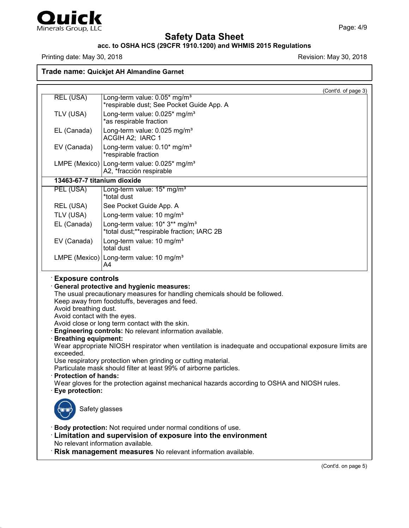

47.0.1

## **Safety Data Sheet**

## **acc. to OSHA HCS (29CFR 1910.1200) and WHMIS 2015 Regulations**

Printing date: May 30, 2018 **Printing date:** May 30, 2018

**Trade name: Quickjet AH Almandine Garnet**

| <b>REL (USA)</b><br>Long-term value: 0.05* mg/m <sup>3</sup><br>*respirable dust; See Pocket Guide App. A<br>Long-term value: 0.025* mg/m <sup>3</sup><br>TLV (USA)<br>*as respirable fraction<br>EL (Canada)<br>Long-term value: 0.025 mg/m <sup>3</sup><br>ACGIH A2; IARC 1<br>EV (Canada)<br>Long-term value: 0.10* mg/m <sup>3</sup><br>*respirable fraction<br>LMPE (Mexico) Long-term value: $0.025*$ mg/m <sup>3</sup><br>A2, *fracción respirable<br>13463-67-7 titanium dioxide<br>PEL (USA)<br>Long-term value: 15* mg/m <sup>3</sup><br>*total dust<br>REL (USA)<br>See Pocket Guide App. A<br>TLV (USA)<br>Long-term value: 10 mg/m <sup>3</sup><br>Long-term value: 10* 3** mg/m <sup>3</sup><br>EL (Canada)<br>*total dust;**respirable fraction; IARC 2B<br>EV (Canada)<br>Long-term value: 10 mg/m <sup>3</sup><br>total dust<br>LMPE (Mexico) Long-term value: 10 mg/m <sup>3</sup><br>A4<br><b>Exposure controls</b><br><b>General protective and hygienic measures:</b><br>The usual precautionary measures for handling chemicals should be followed.<br>Keep away from foodstuffs, beverages and feed.<br>Avoid breathing dust.<br>Avoid contact with the eyes.<br>Avoid close or long term contact with the skin.<br>Engineering controls: No relevant information available.<br><b>Breathing equipment:</b><br>Wear appropriate NIOSH respirator when ventilation is inadequate and occupational exposure limits are | (Cont'd. of page 3) |
|---------------------------------------------------------------------------------------------------------------------------------------------------------------------------------------------------------------------------------------------------------------------------------------------------------------------------------------------------------------------------------------------------------------------------------------------------------------------------------------------------------------------------------------------------------------------------------------------------------------------------------------------------------------------------------------------------------------------------------------------------------------------------------------------------------------------------------------------------------------------------------------------------------------------------------------------------------------------------------------------------------------------------------------------------------------------------------------------------------------------------------------------------------------------------------------------------------------------------------------------------------------------------------------------------------------------------------------------------------------------------------------------------------------------------------------------|---------------------|
|                                                                                                                                                                                                                                                                                                                                                                                                                                                                                                                                                                                                                                                                                                                                                                                                                                                                                                                                                                                                                                                                                                                                                                                                                                                                                                                                                                                                                                             |                     |
|                                                                                                                                                                                                                                                                                                                                                                                                                                                                                                                                                                                                                                                                                                                                                                                                                                                                                                                                                                                                                                                                                                                                                                                                                                                                                                                                                                                                                                             |                     |
|                                                                                                                                                                                                                                                                                                                                                                                                                                                                                                                                                                                                                                                                                                                                                                                                                                                                                                                                                                                                                                                                                                                                                                                                                                                                                                                                                                                                                                             |                     |
|                                                                                                                                                                                                                                                                                                                                                                                                                                                                                                                                                                                                                                                                                                                                                                                                                                                                                                                                                                                                                                                                                                                                                                                                                                                                                                                                                                                                                                             |                     |
|                                                                                                                                                                                                                                                                                                                                                                                                                                                                                                                                                                                                                                                                                                                                                                                                                                                                                                                                                                                                                                                                                                                                                                                                                                                                                                                                                                                                                                             |                     |
|                                                                                                                                                                                                                                                                                                                                                                                                                                                                                                                                                                                                                                                                                                                                                                                                                                                                                                                                                                                                                                                                                                                                                                                                                                                                                                                                                                                                                                             |                     |
|                                                                                                                                                                                                                                                                                                                                                                                                                                                                                                                                                                                                                                                                                                                                                                                                                                                                                                                                                                                                                                                                                                                                                                                                                                                                                                                                                                                                                                             |                     |
|                                                                                                                                                                                                                                                                                                                                                                                                                                                                                                                                                                                                                                                                                                                                                                                                                                                                                                                                                                                                                                                                                                                                                                                                                                                                                                                                                                                                                                             |                     |
|                                                                                                                                                                                                                                                                                                                                                                                                                                                                                                                                                                                                                                                                                                                                                                                                                                                                                                                                                                                                                                                                                                                                                                                                                                                                                                                                                                                                                                             |                     |
|                                                                                                                                                                                                                                                                                                                                                                                                                                                                                                                                                                                                                                                                                                                                                                                                                                                                                                                                                                                                                                                                                                                                                                                                                                                                                                                                                                                                                                             |                     |
|                                                                                                                                                                                                                                                                                                                                                                                                                                                                                                                                                                                                                                                                                                                                                                                                                                                                                                                                                                                                                                                                                                                                                                                                                                                                                                                                                                                                                                             |                     |
|                                                                                                                                                                                                                                                                                                                                                                                                                                                                                                                                                                                                                                                                                                                                                                                                                                                                                                                                                                                                                                                                                                                                                                                                                                                                                                                                                                                                                                             |                     |
| exceeded.<br>Use respiratory protection when grinding or cutting material.<br>Particulate mask should filter at least 99% of airborne particles.<br><b>Protection of hands:</b><br>Wear gloves for the protection against mechanical hazards according to OSHA and NIOSH rules.<br>Eye protection:                                                                                                                                                                                                                                                                                                                                                                                                                                                                                                                                                                                                                                                                                                                                                                                                                                                                                                                                                                                                                                                                                                                                          |                     |
| Safety glasses                                                                                                                                                                                                                                                                                                                                                                                                                                                                                                                                                                                                                                                                                                                                                                                                                                                                                                                                                                                                                                                                                                                                                                                                                                                                                                                                                                                                                              |                     |
| Body protection: Not required under normal conditions of use.<br>Limitation and supervision of exposure into the environment<br>No relevant information available.<br>Risk management measures No relevant information available.                                                                                                                                                                                                                                                                                                                                                                                                                                                                                                                                                                                                                                                                                                                                                                                                                                                                                                                                                                                                                                                                                                                                                                                                           |                     |
|                                                                                                                                                                                                                                                                                                                                                                                                                                                                                                                                                                                                                                                                                                                                                                                                                                                                                                                                                                                                                                                                                                                                                                                                                                                                                                                                                                                                                                             |                     |

(Cont'd. on page 5)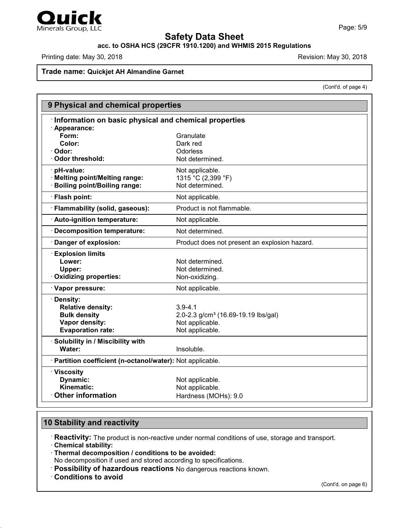

## **acc. to OSHA HCS (29CFR 1910.1200) and WHMIS 2015 Regulations**

Printing date: May 30, 2018 **Printing date: May 30, 2018** Revision: May 30, 2018

## **Trade name: Quickjet AH Almandine Garnet**

(Cont'd. of page 4)

| Information on basic physical and chemical properties<br>· Appearance:<br>Form:<br>Granulate<br>Color:<br>Dark red<br>· Odor:<br>Odorless<br>Odor threshold:<br>Not determined.<br>· pH-value:<br>Not applicable.<br>1315 °C (2,399 °F)<br>Melting point/Melting range:<br>Not determined.<br><b>Boiling point/Boiling range:</b><br>· Flash point:<br>Not applicable.<br>· Flammability (solid, gaseous):<br>Product is not flammable.<br>· Auto-ignition temperature:<br>Not applicable.<br>Decomposition temperature:<br>Not determined.<br>Danger of explosion:<br>Product does not present an explosion hazard.<br><b>Explosion limits</b><br>Lower:<br>Not determined.<br>Not determined.<br>Upper:<br>Oxidizing properties:<br>Non-oxidizing.<br>· Vapor pressure:<br>Not applicable.<br>· Density:<br><b>Relative density:</b><br>$3.9 - 4.1$<br><b>Bulk density</b><br>2.0-2.3 g/cm <sup>3</sup> (16.69-19.19 lbs/gal)<br>Vapor density:<br>Not applicable.<br><b>Evaporation rate:</b><br>Not applicable.<br>· Solubility in / Miscibility with<br>Water:<br>Insoluble. |  | 9 Physical and chemical properties |  |
|-----------------------------------------------------------------------------------------------------------------------------------------------------------------------------------------------------------------------------------------------------------------------------------------------------------------------------------------------------------------------------------------------------------------------------------------------------------------------------------------------------------------------------------------------------------------------------------------------------------------------------------------------------------------------------------------------------------------------------------------------------------------------------------------------------------------------------------------------------------------------------------------------------------------------------------------------------------------------------------------------------------------------------------------------------------------------------------|--|------------------------------------|--|
|                                                                                                                                                                                                                                                                                                                                                                                                                                                                                                                                                                                                                                                                                                                                                                                                                                                                                                                                                                                                                                                                                   |  |                                    |  |
|                                                                                                                                                                                                                                                                                                                                                                                                                                                                                                                                                                                                                                                                                                                                                                                                                                                                                                                                                                                                                                                                                   |  |                                    |  |
|                                                                                                                                                                                                                                                                                                                                                                                                                                                                                                                                                                                                                                                                                                                                                                                                                                                                                                                                                                                                                                                                                   |  |                                    |  |
|                                                                                                                                                                                                                                                                                                                                                                                                                                                                                                                                                                                                                                                                                                                                                                                                                                                                                                                                                                                                                                                                                   |  |                                    |  |
|                                                                                                                                                                                                                                                                                                                                                                                                                                                                                                                                                                                                                                                                                                                                                                                                                                                                                                                                                                                                                                                                                   |  |                                    |  |
|                                                                                                                                                                                                                                                                                                                                                                                                                                                                                                                                                                                                                                                                                                                                                                                                                                                                                                                                                                                                                                                                                   |  |                                    |  |
|                                                                                                                                                                                                                                                                                                                                                                                                                                                                                                                                                                                                                                                                                                                                                                                                                                                                                                                                                                                                                                                                                   |  |                                    |  |
|                                                                                                                                                                                                                                                                                                                                                                                                                                                                                                                                                                                                                                                                                                                                                                                                                                                                                                                                                                                                                                                                                   |  |                                    |  |
|                                                                                                                                                                                                                                                                                                                                                                                                                                                                                                                                                                                                                                                                                                                                                                                                                                                                                                                                                                                                                                                                                   |  |                                    |  |
|                                                                                                                                                                                                                                                                                                                                                                                                                                                                                                                                                                                                                                                                                                                                                                                                                                                                                                                                                                                                                                                                                   |  |                                    |  |
|                                                                                                                                                                                                                                                                                                                                                                                                                                                                                                                                                                                                                                                                                                                                                                                                                                                                                                                                                                                                                                                                                   |  |                                    |  |
|                                                                                                                                                                                                                                                                                                                                                                                                                                                                                                                                                                                                                                                                                                                                                                                                                                                                                                                                                                                                                                                                                   |  |                                    |  |
|                                                                                                                                                                                                                                                                                                                                                                                                                                                                                                                                                                                                                                                                                                                                                                                                                                                                                                                                                                                                                                                                                   |  |                                    |  |
|                                                                                                                                                                                                                                                                                                                                                                                                                                                                                                                                                                                                                                                                                                                                                                                                                                                                                                                                                                                                                                                                                   |  |                                    |  |
|                                                                                                                                                                                                                                                                                                                                                                                                                                                                                                                                                                                                                                                                                                                                                                                                                                                                                                                                                                                                                                                                                   |  |                                    |  |
|                                                                                                                                                                                                                                                                                                                                                                                                                                                                                                                                                                                                                                                                                                                                                                                                                                                                                                                                                                                                                                                                                   |  |                                    |  |
|                                                                                                                                                                                                                                                                                                                                                                                                                                                                                                                                                                                                                                                                                                                                                                                                                                                                                                                                                                                                                                                                                   |  |                                    |  |
|                                                                                                                                                                                                                                                                                                                                                                                                                                                                                                                                                                                                                                                                                                                                                                                                                                                                                                                                                                                                                                                                                   |  |                                    |  |
|                                                                                                                                                                                                                                                                                                                                                                                                                                                                                                                                                                                                                                                                                                                                                                                                                                                                                                                                                                                                                                                                                   |  |                                    |  |
|                                                                                                                                                                                                                                                                                                                                                                                                                                                                                                                                                                                                                                                                                                                                                                                                                                                                                                                                                                                                                                                                                   |  |                                    |  |
|                                                                                                                                                                                                                                                                                                                                                                                                                                                                                                                                                                                                                                                                                                                                                                                                                                                                                                                                                                                                                                                                                   |  |                                    |  |
|                                                                                                                                                                                                                                                                                                                                                                                                                                                                                                                                                                                                                                                                                                                                                                                                                                                                                                                                                                                                                                                                                   |  |                                    |  |
|                                                                                                                                                                                                                                                                                                                                                                                                                                                                                                                                                                                                                                                                                                                                                                                                                                                                                                                                                                                                                                                                                   |  |                                    |  |
|                                                                                                                                                                                                                                                                                                                                                                                                                                                                                                                                                                                                                                                                                                                                                                                                                                                                                                                                                                                                                                                                                   |  |                                    |  |
|                                                                                                                                                                                                                                                                                                                                                                                                                                                                                                                                                                                                                                                                                                                                                                                                                                                                                                                                                                                                                                                                                   |  |                                    |  |
|                                                                                                                                                                                                                                                                                                                                                                                                                                                                                                                                                                                                                                                                                                                                                                                                                                                                                                                                                                                                                                                                                   |  |                                    |  |
| · Partition coefficient (n-octanol/water): Not applicable.                                                                                                                                                                                                                                                                                                                                                                                                                                                                                                                                                                                                                                                                                                                                                                                                                                                                                                                                                                                                                        |  |                                    |  |
| · Viscosity                                                                                                                                                                                                                                                                                                                                                                                                                                                                                                                                                                                                                                                                                                                                                                                                                                                                                                                                                                                                                                                                       |  |                                    |  |
| Dynamic:<br>Not applicable.                                                                                                                                                                                                                                                                                                                                                                                                                                                                                                                                                                                                                                                                                                                                                                                                                                                                                                                                                                                                                                                       |  |                                    |  |
| Kinematic:<br>Not applicable.                                                                                                                                                                                                                                                                                                                                                                                                                                                                                                                                                                                                                                                                                                                                                                                                                                                                                                                                                                                                                                                     |  |                                    |  |
| <b>Other information</b><br>Hardness (MOHs): 9.0                                                                                                                                                                                                                                                                                                                                                                                                                                                                                                                                                                                                                                                                                                                                                                                                                                                                                                                                                                                                                                  |  |                                    |  |

## **10 Stability and reactivity**

· **Reactivity:** The product is non-reactive under normal conditions of use, storage and transport. · **Chemical stability:**

· **Thermal decomposition / conditions to be avoided:**

No decomposition if used and stored according to specifications.

- · **Possibility of hazardous reactions** No dangerous reactions known.
- · **Conditions to avoid**

47.0.1

(Cont'd. on page 6)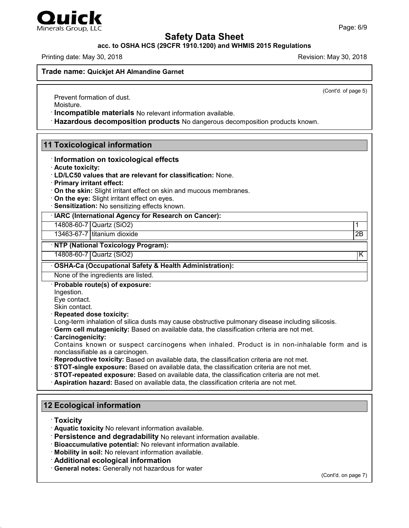

## **acc. to OSHA HCS (29CFR 1910.1200) and WHMIS 2015 Regulations**

Printing date: May 30, 2018 **Revision: May 30, 2018** Revision: May 30, 2018

**Trade name: Quickjet AH Almandine Garnet**

(Cont'd. of page 5)

Prevent formation of dust.

Moisture.

Minerals Group, LLC

· **Incompatible materials** No relevant information available.

· **Hazardous decomposition products** No dangerous decomposition products known.

## **11 Toxicological information**

- · **Information on toxicological effects**
- · **Acute toxicity:**
- · **LD/LC50 values that are relevant for classification:** None.
- · **Primary irritant effect:**
- · **On the skin:** Slight irritant effect on skin and mucous membranes.
- · **On the eye:** Slight irritant effect on eyes.
- · **Sensitization:** No sensitizing effects known.

#### · **IARC (International Agency for Research on Cancer):**

14808-60-7 Quartz (SiO2) 1

13463-67-7 titanium dioxide 2B

#### · **NTP (National Toxicology Program):**

14808-60-7 Quartz (SiO2) K

#### · **OSHA-Ca (Occupational Safety & Health Administration):**

None of the ingredients are listed.

· **Probable route(s) of exposure:**

Ingestion.

Eye contact.

Skin contact.

## · **Repeated dose toxicity:**

Long-term inhalation of silica dusts may cause obstructive pulmonary disease including silicosis.

· **Germ cell mutagenicity:** Based on available data, the classification criteria are not met.

· **Carcinogenicity:**

Contains known or suspect carcinogens when inhaled. Product is in non-inhalable form and is nonclassifiable as a carcinogen.

- · **Reproductive toxicity:** Based on available data, the classification criteria are not met.
- · **STOT-single exposure:** Based on available data, the classification criteria are not met.
- · **STOT-repeated exposure:** Based on available data, the classification criteria are not met.
- · **Aspiration hazard:** Based on available data, the classification criteria are not met.

## **12 Ecological information**

· **Toxicity**

47.0.1

- · **Aquatic toxicity** No relevant information available.
- · **Persistence and degradability** No relevant information available.
- · **Bioaccumulative potential:** No relevant information available.
- · **Mobility in soil:** No relevant information available.
- · **Additional ecological information**
- · **General notes:** Generally nothazardous for water

(Cont'd. on page 7)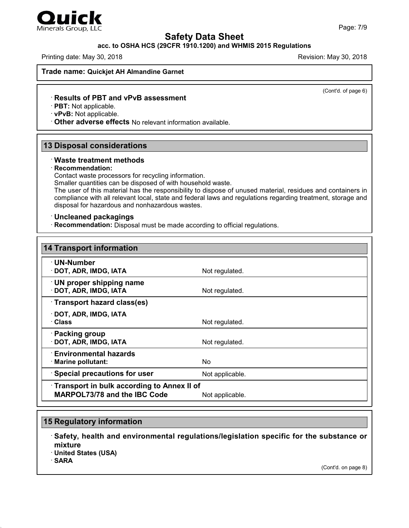

## Minerals Group, LLC

## **Safety Data Sheet**

## **acc. to OSHA HCS (29CFR 1910.1200) and WHMIS 2015 Regulations**

Printing date: May 30, 2018 **Revision: May 30, 2018** Revision: May 30, 2018

**Trade name: Quickjet AH Almandine Garnet**

(Cont'd. of page 6)

## · **Results of PBT and vPvB assessment**

· **PBT:** Not applicable.

· **vPvB:** Not applicable.

· **Other adverse effects** No relevant information available.

## **13 Disposal considerations**

#### · **Waste treatment methods**

#### · **Recommendation:**

Contact waste processors for recycling information.

Smaller quantities can be disposed of with household waste.

The user of this material has the responsibility to dispose of unused material, residues and containers in compliance with all relevant local, state and federal laws and regulations regarding treatment, storage and disposal for hazardous and nonhazardous wastes.

#### · **Uncleaned packagings**

· **Recommendation:** Disposal must be made according to official regulations.

| <b>14 Transport information</b>             |                 |
|---------------------------------------------|-----------------|
| $\cdot$ UN-Number<br>· DOT, ADR, IMDG, IATA | Not regulated.  |
| <b>UN proper shipping name</b>              |                 |
| · DOT, ADR, IMDG, IATA                      | Not regulated.  |
| Transport hazard class(es)                  |                 |
| · DOT, ADR, IMDG, IATA                      |                 |
| · Class                                     | Not regulated.  |
| · Packing group<br>· DOT, ADR, IMDG, IATA   | Not regulated.  |
| <b>Environmental hazards</b>                |                 |
| · Marine pollutant:                         | <b>No</b>       |
| <b>Special precautions for user</b>         | Not applicable. |
| Transport in bulk according to Annex II of  |                 |
| <b>MARPOL73/78 and the IBC Code</b>         | Not applicable. |

## **15 Regulatory information**

· **Safety, health and environmental regulations/legislation specific for the substance or mixture**

· **United States (USA)**

· **SARA**

47.0.1

(Cont'd. on page 8)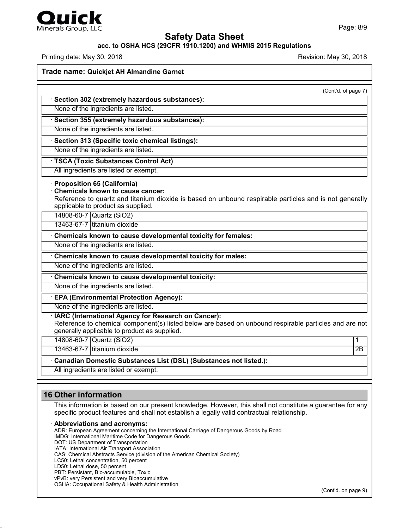

## **acc. to OSHA HCS (29CFR 1910.1200) and WHMIS 2015 Regulations**

Printing date: May 30, 2018 **Printing date: May 30, 2018** Revision: May 30, 2018

**Trade name: Quickjet AH Almandine Garnet**

|                                                                                                                                                                                                                               | (Cont'd. of page 7) |
|-------------------------------------------------------------------------------------------------------------------------------------------------------------------------------------------------------------------------------|---------------------|
| · Section 302 (extremely hazardous substances):                                                                                                                                                                               |                     |
| None of the ingredients are listed.                                                                                                                                                                                           |                     |
| · Section 355 (extremely hazardous substances):                                                                                                                                                                               |                     |
| None of the ingredients are listed.                                                                                                                                                                                           |                     |
| · Section 313 (Specific toxic chemical listings):                                                                                                                                                                             |                     |
| None of the ingredients are listed.                                                                                                                                                                                           |                     |
| <b>TSCA (Toxic Substances Control Act)</b>                                                                                                                                                                                    |                     |
| All ingredients are listed or exempt.                                                                                                                                                                                         |                     |
| <b>Proposition 65 (California)</b><br><b>Chemicals known to cause cancer:</b><br>Reference to quartz and titanium dioxide is based on unbound respirable particles and is not generally<br>applicable to product as supplied. |                     |
| 14808-60-7 Quartz (SiO2)                                                                                                                                                                                                      |                     |
| 13463-67-7 titanium dioxide                                                                                                                                                                                                   |                     |
| Chemicals known to cause developmental toxicity for females:                                                                                                                                                                  |                     |
| None of the ingredients are listed.                                                                                                                                                                                           |                     |
| Chemicals known to cause developmental toxicity for males:                                                                                                                                                                    |                     |
| None of the ingredients are listed.                                                                                                                                                                                           |                     |
| Chemicals known to cause developmental toxicity:                                                                                                                                                                              |                     |
| None of the ingredients are listed.                                                                                                                                                                                           |                     |
| · EPA (Environmental Protection Agency):                                                                                                                                                                                      |                     |
| None of the ingredients are listed.                                                                                                                                                                                           |                     |
| · IARC (International Agency for Research on Cancer):<br>Reference to chemical component(s) listed below are based on unbound respirable particles and are not<br>generally applicable to product as supplied.                |                     |
| 14808-60-7 Quartz (SiO2)                                                                                                                                                                                                      | 1                   |
| 13463-67-7 titanium dioxide                                                                                                                                                                                                   | $\overline{2B}$     |
| Canadian Domestic Substances List (DSL) (Substances not listed.):                                                                                                                                                             |                     |
| All ingredients are listed or exempt.                                                                                                                                                                                         |                     |

## **16 Other information**

47.0.1

This information is based on our present knowledge. However, this shall not constitute a guarantee for any specific product features and shall not establish a legally valid contractual relationship.

#### · **Abbreviations and acronyms:**

ADR: European Agreement concerning the International Carriage of Dangerous Goods by Road IMDG: International Maritime Code for Dangerous Goods DOT: US Department of Transportation IATA: International Air Transport Association CAS: Chemical Abstracts Service (division of the American Chemical Society) LC50: Lethal concentration, 50 percent LD50: Lethal dose, 50 percent PBT: Persistant, Bio-accumulable, Toxic vPvB: very Persistent and very Bioaccumulative OSHA: Occupational Safety & Health Administration